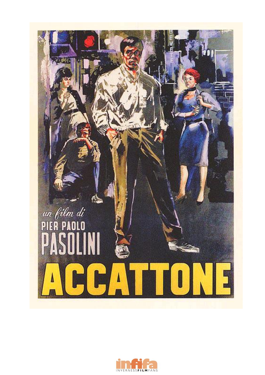

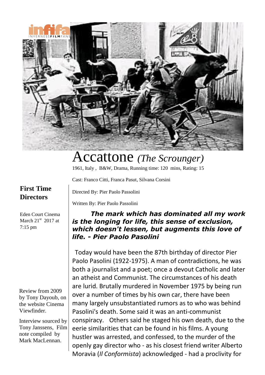

## Accattone *(The Scrounger)*

1961, Italy , B&W, Drama, Running time: 120 mins, Rating: 15

Cast: [Franco](/name/nm0162948?ref_=tt_ov_st_sm) Citti, [Franca](/name/nm0665186?ref_=tt_ov_st_sm) Pasut, [Silvana](/name/nm0181122?ref_=tt_ov_st_sm) Corsini

*life. - Pier Paolo Pasolini*

Directed By: Pier Paolo Passolini

## **First Time Directors**

Eden Court Cinema March  $21<sup>st</sup>$  2017 at 7:15 pm

Review from 2009 by Tony Dayoub, on the website Cinema Viewfinder.

Interview sourced by Tony Janssens, Film note compiled by Mark MacLennan.

Written By: Pier Paolo Passolini *The mark which has dominated all my work is the longing for life, this sense of exclusion, which doesn't lessen, but augments this love of*

Today would have been the 87th birthday of director Pier Paolo Pasolini (1922-1975). A man of contradictions, he was both a journalist and a poet; once a devout Catholic and later an atheist and Communist. The circumstances of his death are lurid. Brutally murdered in November 1975 by being run over a number of times by his own car, there have been many largely unsubstantiated rumors as to who was behind Pasolini's death. Some said it was an anti-communist conspiracy. Others said he staged his own death, due to the eerie similarities that can be found in his films. A young hustler was arrested, and confessed, to the murder of the openly gay director who - as his closest friend writer Alberto Moravia (*Il Conformista*) acknowledged - had a proclivity for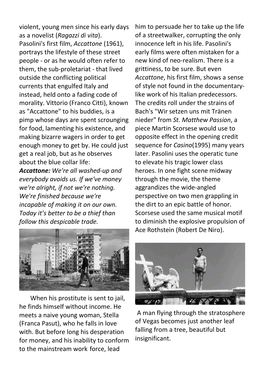violent, young men since his early days as a novelist (*Ragazzi di vita*). Pasolini's first film, *Accattone* (1961), portrays the lifestyle of these street people - or as he would often refer to them, the sub-proletariat - that lived outside the conflicting political currents that engulfed Italy and instead, held onto a fading code of morality. Vittorio (Franco Citti), known as "Accattone" to his buddies, is a pimp whose days are spent scrounging for food, lamenting his existence, and making bizarre wagers in order to get enough money to get by. He could just get a real job, but as he observes about the blue collar life:

*Accattone: We're all washed-up and everybody avoids us. If we've money we're alright, if not we're nothing. We're finished because we're incapable of making it on our own. Today it's better to be a thief than follow this despicable trade.*

him to persuade her to take up the life of a streetwalker, corrupting the only innocence left in his life. Pasolini's early films were often mistaken for a new kind of neo-realism. There is a grittiness, to be sure. But even *Accattone*, his first film, shows a sense of style not found in the documentarylike work of his Italian predecessors. The credits roll under the strains of Bach's "Wir setzen uns mit Tränen nieder" from *St. Matthew Passion*, a piece Martin Scorsese would use to opposite effect in the opening credit sequence for *Casino*(1995) many years later. Pasolini uses the operatic tune to elevate his tragic lower class heroes. In one fight scene midway through the movie, the theme aggrandizes the wide-angled perspective on two men grappling in the dirt to an epic battle of honor. Scorsese used the same musical motif to diminish the explosive propulsion of Ace Rothstein (Robert De Niro).



 When his prostitute is sent to jail, he finds himself without income. He meets a naive young woman, Stella (Franca Pasut), who he falls in love with. But before long his desperation for money, and his inability to conform to the mainstream work force, lead



A man flying through the stratosphere of Vegas becomes just another leaf falling from a tree, beautiful but insignificant.